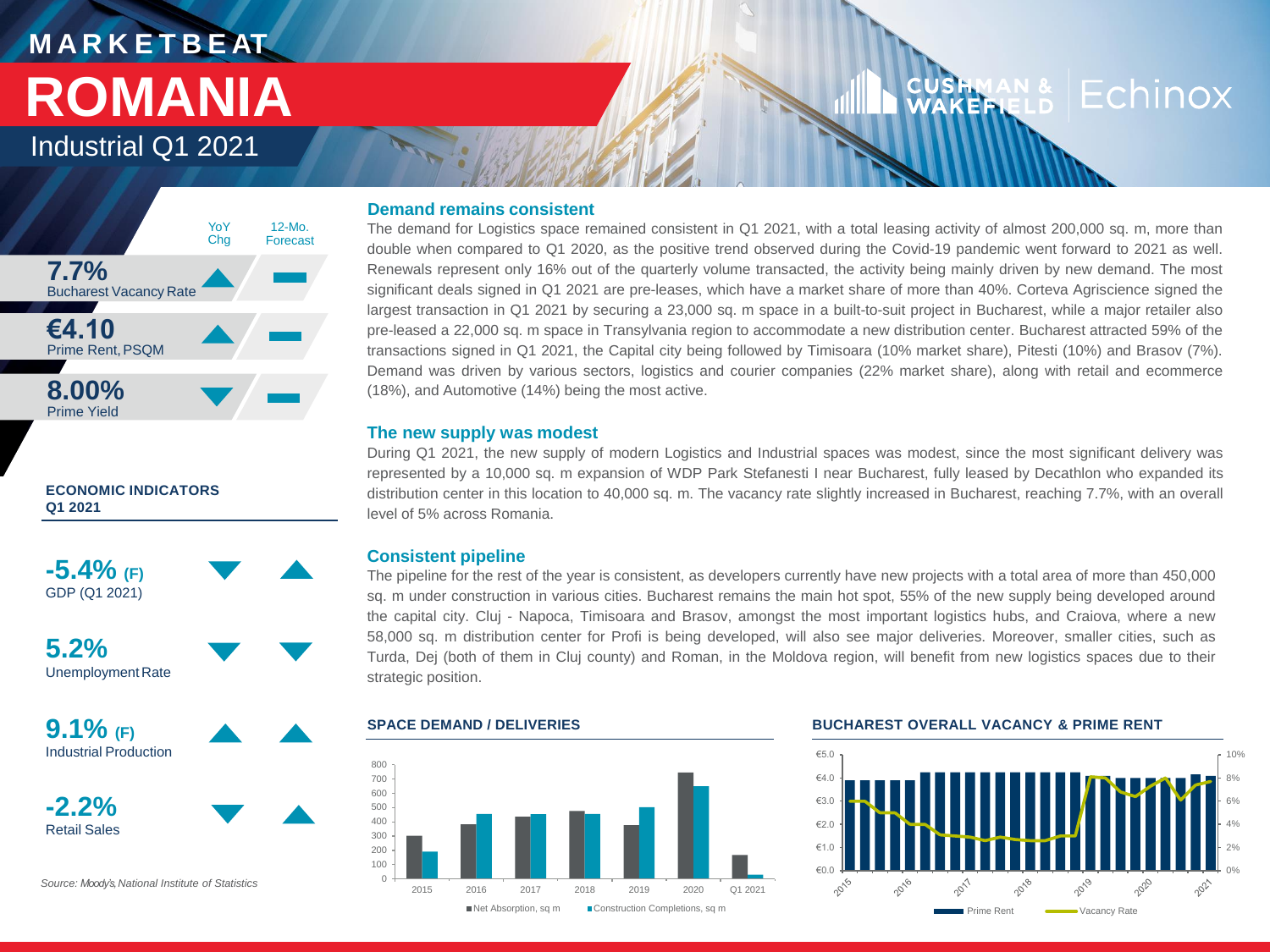# **M A R K E T B E AT ROMANIA**

Industrial Q1 2021



### **ECONOMIC INDICATORS Q1 2021**

**-5.4% (F)** GDP (Q1 2021)



**5.2%** UnemploymentRate

**9.1% (F)** Industrial Production





*Source: Moody's, National Institute of Statistics*

### **Demand remains consistent**

The demand for Logistics space remained consistent in Q1 2021, with a total leasing activity of almost 200,000 sq. m, more than double when compared to Q1 2020, as the positive trend observed during the Covid-19 pandemic went forward to 2021 as well. Renewals represent only 16% out of the quarterly volume transacted, the activity being mainly driven by new demand. The most significant deals signed in Q1 2021 are pre-leases, which have a market share of more than 40%. Corteva Agriscience signed the largest transaction in Q1 2021 by securing a 23,000 sq. m space in a built-to-suit project in Bucharest, while a major retailer also pre-leased a 22,000 sq. m space in Transylvania region to accommodate a new distribution center. Bucharest attracted 59% of the transactions signed in Q1 2021, the Capital city being followed by Timisoara (10% market share), Pitesti (10%) and Brasov (7%). Demand was driven by various sectors, logistics and courier companies (22% market share), along with retail and ecommerce (18%), and Automotive (14%) being the most active.

### **The new supply was modest**

During Q1 2021, the new supply of modern Logistics and Industrial spaces was modest, since the most significant delivery was represented by a 10,000 sq. m expansion of WDP Park Stefanesti I near Bucharest, fully leased by Decathlon who expanded its distribution center in this location to 40,000 sq. m. The vacancy rate slightly increased in Bucharest, reaching 7.7%, with an overall level of 5% across Romania.

### **Consistent pipeline**

The pipeline for the rest of the year is consistent, as developers currently have new projects with a total area of more than 450,000 sq. m under construction in various cities. Bucharest remains the main hot spot, 55% of the new supply being developed around the capital city. Cluj - Napoca, Timisoara and Brasov, amongst the most important logistics hubs, and Craiova, where a new 58,000 sq. m distribution center for Profi is being developed, will also see major deliveries. Moreover, smaller cities, such as Turda, Dej (both of them in Cluj county) and Roman, in the Moldova region, will benefit from new logistics spaces due to their strategic position.



### **SPACE DEMAND / DELIVERIES BUCHAREST OVERALL VACANCY & PRIME RENT**



## ISHMA<br>AKEFI Echinox